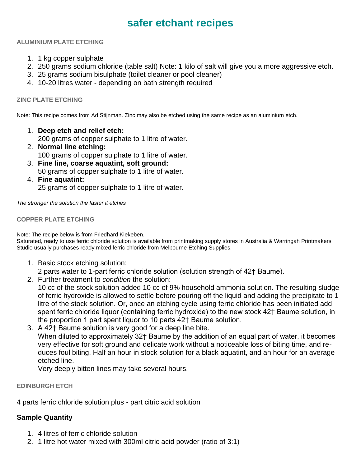# **safer etchant recipes**

#### **ALUMINIUM PLATE ETCHING**

- 1. 1 kg copper sulphate
- 2. 250 grams sodium chloride (table salt) Note: 1 kilo of salt will give you a more aggressive etch.
- 3. 25 grams sodium bisulphate (toilet cleaner or pool cleaner)
- 4. 10-20 litres water depending on bath strength required

### **ZINC PLATE ETCHING**

Note: This recipe comes from Ad Stijnman. Zinc may also be etched using the same recipe as an aluminium etch.

1. **Deep etch and relief etch:**

200 grams of copper sulphate to 1 litre of water.

- 2. **Normal line etching:** 100 grams of copper sulphate to 1 litre of water.
- 3. **Fine line, coarse aquatint, soft ground:** 50 grams of copper sulphate to 1 litre of water.
- 4. **Fine aquatint:**

25 grams of copper sulphate to 1 litre of water.

*The stronger the solution the faster it etches*

#### **COPPER PLATE ETCHING**

Note: The recipe below is from Friedhard Kiekeben.

Saturated, ready to use ferric chloride solution is available from printmaking supply stores in Australia & Warringah Printmakers Studio usually purchases ready mixed ferric chloride from Melbourne Etching Supplies.

- 1. Basic stock etching solution:
	- 2 parts water to 1-part ferric chloride solution (solution strength of 42† Baume).
- 2. Further treatment to *condition* the solution: 10 cc of the stock solution added 10 cc of 9% household ammonia solution. The resulting sludge of ferric hydroxide is allowed to settle before pouring off the liquid and adding the precipitate to 1 litre of the stock solution. Or, once an etching cycle using ferric chloride has been initiated add spent ferric chloride liquor (containing ferric hydroxide) to the new stock 42† Baume solution, in the proportion 1 part spent liquor to 10 parts 42† Baume solution.
- 3. A 42† Baume solution is very good for a deep line bite. When diluted to approximately 32† Baume by the addition of an equal part of water, it becomes very effective for soft ground and delicate work without a noticeable loss of biting time, and reduces foul biting. Half an hour in stock solution for a black aquatint, and an hour for an average etched line.

Very deeply bitten lines may take several hours.

**EDINBURGH ETCH**

4 parts ferric chloride solution plus - part citric acid solution

## **Sample Quantity**

- 1. 4 litres of ferric chloride solution
- 2. 1 litre hot water mixed with 300ml citric acid powder (ratio of 3:1)